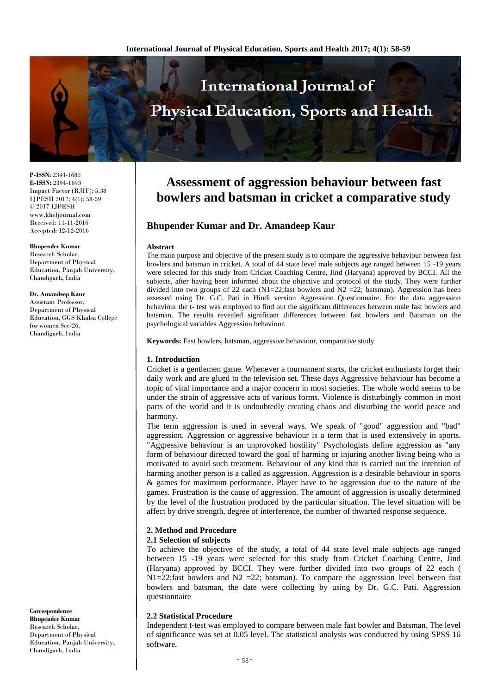

**P-ISSN:** 2394-1685 **E-ISSN:** 2394-1693 Impact Factor (RJIF): 5.38 IJPESH 2017; 4(1): 58-59 © 2017 IJPESH www.kheljournal.com Received: 11-11-2016 Accepted: 12-12-2016

**Bhupender Kumar** Research Scholar, Department of Physical Education, Panjab University, Chandigarh, India

### **Dr. Amandeep Kaur**

Assistant Professor, Department of Physical Education, GGS Khalsa College for women Sec-26, Chandigarh, India

#### **Correspondence Bhupender Kumar** Research Scholar, Department of Physical Education, Panjab University, Chandigarh, India

# **Assessment of aggression behaviour between fast bowlers and batsman in cricket a comparative study**

# **Bhupender Kumar and Dr. Amandeep Kaur**

### **Abstract**

The main purpose and objective of the present study is to compare the aggressive behaviour between fast bowlers and batsman in cricket. A total of 44 state level male subjects age ranged between 15 -19 years were selected for this study from Cricket Coaching Centre, Jind (Haryana) approved by BCCI. All the subjects, after having been informed about the objective and protocol of the study. They were further divided into two groups of 22 each (N1=22;fast bowlers and N2 = 22; batsman). Aggression has been assessed using Dr. G.C. Pati in Hindi version Aggression Questionnaire. For the data aggression behaviour the t- test was employed to find out the significant differences between male fast bowlers and batsman. The results revealed significant differences between fast bowlers and Batsman on the psychological variables Aggression behaviour.

**Keywords:** Fast bowlers, batsman, aggressive behaviour, comparative study

## **1. Introduction**

Cricket is a gentlemen game. Whenever a tournament starts, the cricket enthusiasts forget their daily work and are glued to the television set. These days Aggressive behaviour has become a topic of vital importance and a major concern in most societies. The whole world seems to be under the strain of aggressive acts of various forms. Violence is disturbingly common in most parts of the world and it is undoubtedly creating chaos and disturbing the world peace and harmony.

The term aggression is used in several ways. We speak of "good" aggression and "bad" aggression. Aggression or aggressive behaviour is a term that is used extensively in sports. "Aggressive behaviour is an unprovoked hostility" Psychologists define aggression as "any form of behaviour directed toward the goal of harming or injuring another living being who is motivated to avoid such treatment. Behaviour of any kind that is carried out the intention of harming another person is a called as aggression. Aggression is a desirable behaviour in sports & games for maximum performance. Player have to be aggression due to the nature of the games. Frustration is the cause of aggression. The amount of aggression is usually determined by the level of the frustration produced by the particular situation. The level situation will be affect by drive strength, degree of interference, the number of thwarted response sequence.

## **2. Method and Procedure**

## **2.1 Selection of subjects**

To achieve the objective of the study, a total of 44 state level male subjects age ranged between 15 -19 years were selected for this study from Cricket Coaching Centre, Jind (Haryana) approved by BCCI. They were further divided into two groups of 22 each (  $N1=22$ ; fast bowlers and  $N2 = 22$ ; batsman). To compare the aggression level between fast bowlers and batsman, the date were collecting by using by Dr. G.C. Pati. Aggression questionnaire

## **2.2 Statistical Procedure**

Independent t-test was employed to compare between male fast bowler and Batsman. The level of significance was set at 0.05 level. The statistical analysis was conducted by using SPSS 16 software.